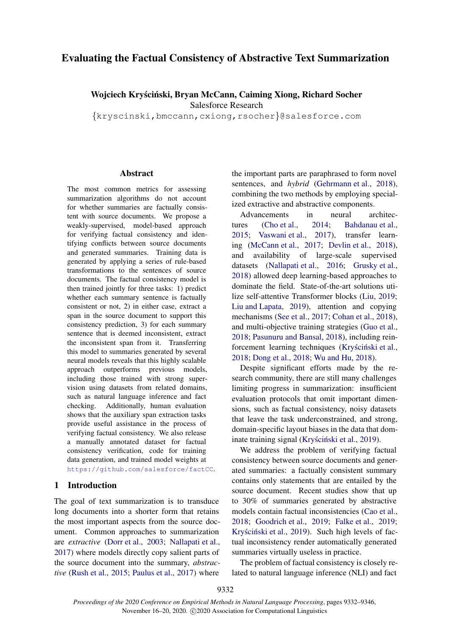# Evaluating the Factual Consistency of Abstractive Text Summarization

## Wojciech Kryściński, Bryan McCann, Caiming Xiong, Richard Socher Salesforce Research

{kryscinski,bmccann,cxiong,rsocher}@salesforce.com

## Abstract

The most common metrics for assessing summarization algorithms do not account for whether summaries are factually consistent with source documents. We propose a weakly-supervised, model-based approach for verifying factual consistency and identifying conflicts between source documents and generated summaries. Training data is generated by applying a series of rule-based transformations to the sentences of source documents. The factual consistency model is then trained jointly for three tasks: 1) predict whether each summary sentence is factually consistent or not, 2) in either case, extract a span in the source document to support this consistency prediction, 3) for each summary sentence that is deemed inconsistent, extract the inconsistent span from it. Transferring this model to summaries generated by several neural models reveals that this highly scalable approach outperforms previous models, including those trained with strong supervision using datasets from related domains, such as natural language inference and fact checking. Additionally, human evaluation shows that the auxiliary span extraction tasks provide useful assistance in the process of verifying factual consistency. We also release a manually annotated dataset for factual consistency verification, code for training data generation, and trained model weights at <https://github.com/salesforce/factCC>.

## 1 Introduction

The goal of text summarization is to transduce long documents into a shorter form that retains the most important aspects from the source document. Common approaches to summarization are *extractive* [\(Dorr et al.,](#page-8-0) [2003;](#page-8-0) [Nallapati et al.,](#page-9-0) [2017\)](#page-9-0) where models directly copy salient parts of the source document into the summary, *abstractive* [\(Rush et al.](#page-9-1), [2015](#page-9-1); [Paulus et al.,](#page-9-2) [2017\)](#page-9-2) where

the important parts are paraphrased to form novel sentences, and *hybrid* [\(Gehrmann et al.,](#page-8-1) [2018\)](#page-8-1), combining the two methods by employing specialized extractive and abstractive components.

Advancements in neural architec-tures [\(Cho et al.](#page-8-2), [2014](#page-8-2); [Bahdanau et al.](#page-8-3), [2015](#page-8-3); [Vaswani et al.,](#page-9-3) [2017\)](#page-9-3), transfer learning [\(McCann et al.,](#page-9-4) [2017](#page-9-4); [Devlin et al.,](#page-8-4) [2018\)](#page-8-4), and availability of large-scale supervised datasets [\(Nallapati et al.,](#page-9-5) [2016;](#page-9-5) [Grusky et al.](#page-8-5), [2018](#page-8-5)) allowed deep learning-based approaches to dominate the field. State-of-the-art solutions utilize self-attentive Transformer blocks [\(Liu](#page-9-6), [2019](#page-9-6); [Liu and Lapata](#page-9-7), [2019\)](#page-9-7), attention and copying mechanisms [\(See et al.](#page-9-8), [2017;](#page-9-8) [Cohan et al.](#page-8-6), [2018\)](#page-8-6), and multi-objective training strategies [\(Guo et al.](#page-8-7), [2018](#page-8-7); [Pasunuru and Bansal](#page-9-9), [2018\)](#page-9-9), including reinforcement learning techniques (Kryściński et al., [2018](#page-9-10); [Dong et al.](#page-8-8), [2018](#page-8-8); [Wu and Hu,](#page-10-0) [2018](#page-10-0)).

Despite significant efforts made by the research community, there are still many challenges limiting progress in summarization: insufficient evaluation protocols that omit important dimensions, such as factual consistency, noisy datasets that leave the task underconstrained, and strong, domain-specific layout biases in the data that dom-inate training signal (Kryściński et al., [2019\)](#page-9-11).

We address the problem of verifying factual consistency between source documents and generated summaries: a factually consistent summary contains only statements that are entailed by the source document. Recent studies show that up to 30% of summaries generated by abstractive models contain factual inconsistencies [\(Cao et al.](#page-8-9), [2018](#page-8-9); [Goodrich et al.,](#page-8-10) [2019;](#page-8-10) [Falke et al.](#page-8-11), [2019](#page-8-11); Kryściński et al., [2019\)](#page-9-11). Such high levels of factual inconsistency render automatically generated summaries virtually useless in practice.

The problem of factual consistency is closely related to natural language inference (NLI) and fact

9332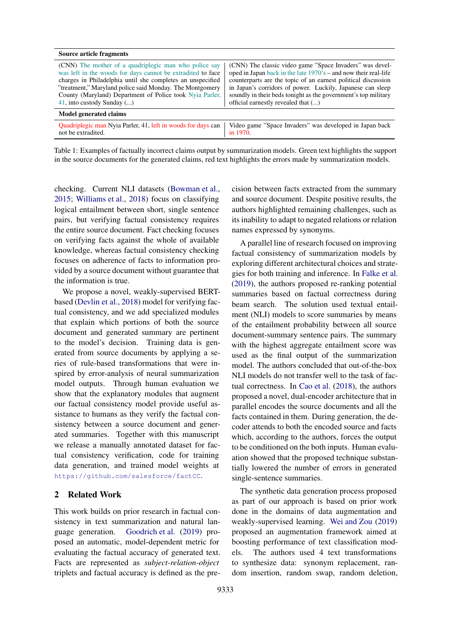| <b>Source article fragments</b>                              |                                                                 |  |  |  |
|--------------------------------------------------------------|-----------------------------------------------------------------|--|--|--|
| (CNN) The mother of a quadriplegic man who police say        | (CNN) The classic video game "Space Invaders" was devel-        |  |  |  |
| was left in the woods for days cannot be extradited to face  | oped in Japan back in the late 1970's – and now their real-life |  |  |  |
| charges in Philadelphia until she completes an unspecified   | counterparts are the topic of an earnest political discussion   |  |  |  |
| "treatment," Maryland police said Monday. The Montgomery     | in Japan's corridors of power. Luckily, Japanese can sleep      |  |  |  |
| County (Maryland) Department of Police took Nyia Parler,     | soundly in their beds tonight as the government's top military  |  |  |  |
| 41, into custody Sunday ()                                   | official earnestly revealed that ()                             |  |  |  |
| <b>Model generated claims</b>                                |                                                                 |  |  |  |
| Quadriplegic man Nyia Parler, 41, left in woods for days can | Video game "Space Invaders" was developed in Japan back         |  |  |  |
| not be extradited.                                           | in 1970.                                                        |  |  |  |

Table 1: Examples of factually incorrect claims output by summarization models. Green text highlights the support in the source documents for the generated claims, red text highlights the errors made by summarization models.

checking. Current NLI datasets [\(Bowman et al.,](#page-8-12) [2015;](#page-8-12) [Williams et al.](#page-10-1), [2018\)](#page-10-1) focus on classifying logical entailment between short, single sentence pairs, but verifying factual consistency requires the entire source document. Fact checking focuses on verifying facts against the whole of available knowledge, whereas factual consistency checking focuses on adherence of facts to information provided by a source document without guarantee that the information is true.

We propose a novel, weakly-supervised BERTbased [\(Devlin et al.](#page-8-4), [2018\)](#page-8-4) model for verifying factual consistency, and we add specialized modules that explain which portions of both the source document and generated summary are pertinent to the model's decision. Training data is generated from source documents by applying a series of rule-based transformations that were inspired by error-analysis of neural summarization model outputs. Through human evaluation we show that the explanatory modules that augment our factual consistency model provide useful assistance to humans as they verify the factual consistency between a source document and generated summaries. Together with this manuscript we release a manually annotated dataset for factual consistency verification, code for training data generation, and trained model weights at <https://github.com/salesforce/factCC>.

# 2 Related Work

This work builds on prior research in factual consistency in text summarization and natural language generation. [Goodrich et al.](#page-8-10) [\(2019\)](#page-8-10) proposed an automatic, model-dependent metric for evaluating the factual accuracy of generated text. Facts are represented as *subject-relation-object* triplets and factual accuracy is defined as the precision between facts extracted from the summary and source document. Despite positive results, the authors highlighted remaining challenges, such as its inability to adapt to negated relations or relation names expressed by synonyms.

A parallel line of research focused on improving factual consistency of summarization models by exploring different architectural choices and strategies for both training and inference. In [Falke et al.](#page-8-11) [\(2019](#page-8-11)), the authors proposed re-ranking potential summaries based on factual correctness during beam search. The solution used textual entailment (NLI) models to score summaries by means of the entailment probability between all source document-summary sentence pairs. The summary with the highest aggregate entailment score was used as the final output of the summarization model. The authors concluded that out-of-the-box NLI models do not transfer well to the task of factual correctness. In [Cao et al.](#page-8-9) [\(2018\)](#page-8-9), the authors proposed a novel, dual-encoder architecture that in parallel encodes the source documents and all the facts contained in them. During generation, the decoder attends to both the encoded source and facts which, according to the authors, forces the output to be conditioned on the both inputs. Human evaluation showed that the proposed technique substantially lowered the number of errors in generated single-sentence summaries.

The synthetic data generation process proposed as part of our approach is based on prior work done in the domains of data augmentation and weakly-supervised learning. [Wei and Zou](#page-9-12) [\(2019\)](#page-9-12) proposed an augmentation framework aimed at boosting performance of text classification models. The authors used 4 text transformations to synthesize data: synonym replacement, random insertion, random swap, random deletion,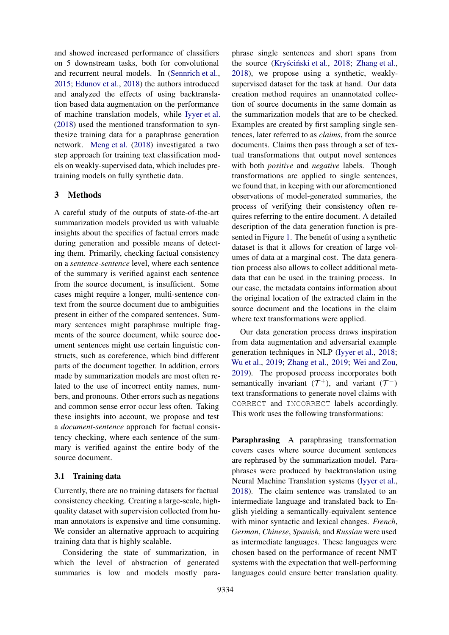and showed increased performance of classifiers on 5 downstream tasks, both for convolutional and recurrent neural models. In [\(Sennrich et al.,](#page-9-13) [2015;](#page-9-13) [Edunov et al.,](#page-8-13) [2018](#page-8-13)) the authors introduced and analyzed the effects of using backtranslation based data augmentation on the performance of machine translation models, while [Iyyer et al.](#page-9-14) [\(2018](#page-9-14)) used the mentioned transformation to synthesize training data for a paraphrase generation network. [Meng et al.](#page-9-15) [\(2018](#page-9-15)) investigated a two step approach for training text classification models on weakly-supervised data, which includes pretraining models on fully synthetic data.

# 3 Methods

A careful study of the outputs of state-of-the-art summarization models provided us with valuable insights about the specifics of factual errors made during generation and possible means of detecting them. Primarily, checking factual consistency on a *sentence-sentence* level, where each sentence of the summary is verified against each sentence from the source document, is insufficient. Some cases might require a longer, multi-sentence context from the source document due to ambiguities present in either of the compared sentences. Summary sentences might paraphrase multiple fragments of the source document, while source document sentences might use certain linguistic constructs, such as coreference, which bind different parts of the document together. In addition, errors made by summarization models are most often related to the use of incorrect entity names, numbers, and pronouns. Other errors such as negations and common sense error occur less often. Taking these insights into account, we propose and test a *document-sentence* approach for factual consistency checking, where each sentence of the summary is verified against the entire body of the source document.

## <span id="page-2-0"></span>3.1 Training data

Currently, there are no training datasets for factual consistency checking. Creating a large-scale, highquality dataset with supervision collected from human annotators is expensive and time consuming. We consider an alternative approach to acquiring training data that is highly scalable.

Considering the state of summarization, in which the level of abstraction of generated summaries is low and models mostly paraphrase single sentences and short spans from the source (Kryściński et al., [2018](#page-9-10); [Zhang et al.](#page-10-2), [2018](#page-10-2)), we propose using a synthetic, weaklysupervised dataset for the task at hand. Our data creation method requires an unannotated collection of source documents in the same domain as the summarization models that are to be checked. Examples are created by first sampling single sentences, later referred to as *claims*, from the source documents. Claims then pass through a set of textual transformations that output novel sentences with both *positive* and *negative* labels. Though transformations are applied to single sentences, we found that, in keeping with our aforementioned observations of model-generated summaries, the process of verifying their consistency often requires referring to the entire document. A detailed description of the data generation function is presented in Figure [1.](#page-4-0) The benefit of using a synthetic dataset is that it allows for creation of large volumes of data at a marginal cost. The data generation process also allows to collect additional metadata that can be used in the training process. In our case, the metadata contains information about the original location of the extracted claim in the source document and the locations in the claim where text transformations were applied.

Our data generation process draws inspiration from data augmentation and adversarial example generation techniques in NLP [\(Iyyer et al.](#page-9-14), [2018](#page-9-14); [Wu et al.,](#page-10-3) [2019](#page-10-3); [Zhang et al.,](#page-10-4) [2019](#page-10-4); [Wei and Zou](#page-9-12), [2019](#page-9-12)). The proposed process incorporates both semantically invariant  $(\mathcal{T}^+)$ , and variant  $(\mathcal{T}^-)$ text transformations to generate novel claims with CORRECT and INCORRECT labels accordingly. This work uses the following transformations:

Paraphrasing A paraphrasing transformation covers cases where source document sentences are rephrased by the summarization model. Paraphrases were produced by backtranslation using Neural Machine Translation systems [\(Iyyer et al.](#page-9-14), [2018](#page-9-14)). The claim sentence was translated to an intermediate language and translated back to English yielding a semantically-equivalent sentence with minor syntactic and lexical changes. *French*, *German*, *Chinese*, *Spanish*, and *Russian* were used as intermediate languages. These languages were chosen based on the performance of recent NMT systems with the expectation that well-performing languages could ensure better translation quality.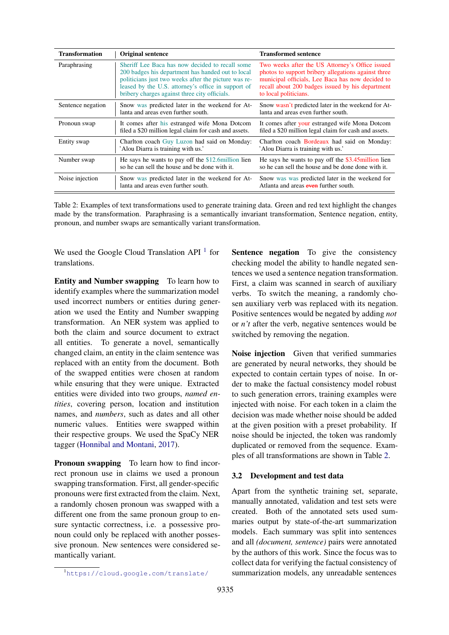<span id="page-3-1"></span>

| <b>Transformation</b> | <b>Original sentence</b>                                                                                                                                                                                                                                            | <b>Transformed sentence</b>                                                                                                                                                                                                             |
|-----------------------|---------------------------------------------------------------------------------------------------------------------------------------------------------------------------------------------------------------------------------------------------------------------|-----------------------------------------------------------------------------------------------------------------------------------------------------------------------------------------------------------------------------------------|
| Paraphrasing          | Sheriff Lee Baca has now decided to recall some<br>200 badges his department has handed out to local<br>politicians just two weeks after the picture was re-<br>leased by the U.S. attorney's office in support of<br>bribery charges against three city officials. | Two weeks after the US Attorney's Office issued<br>photos to support bribery allegations against three<br>municipal officials, Lee Baca has now decided to<br>recall about 200 badges issued by his department<br>to local politicians. |
| Sentence negation     | Snow was predicted later in the weekend for At-<br>lanta and areas even further south.                                                                                                                                                                              | Snow wasn't predicted later in the weekend for At-<br>lanta and areas even further south.                                                                                                                                               |
| Pronoun swap          | It comes after his estranged wife Mona Dotcom<br>filed a \$20 million legal claim for cash and assets.                                                                                                                                                              | It comes after your estranged wife Mona Dotcom<br>filed a \$20 million legal claim for cash and assets.                                                                                                                                 |
| Entity swap           | Charlton coach Guy Luzon had said on Monday:<br>'Alou Diarra is training with us.'                                                                                                                                                                                  | Charlton coach Bordeaux had said on Monday:<br>'Alou Diarra is training with us.'                                                                                                                                                       |
| Number swap           | He says he wants to pay off the \$12.6 million lien<br>so he can sell the house and be done with it.                                                                                                                                                                | He says he wants to pay off the \$3.45million lien<br>so he can sell the house and be done done with it.                                                                                                                                |
| Noise injection       | Snow was predicted later in the weekend for At-<br>lanta and areas even further south.                                                                                                                                                                              | Snow was was predicted later in the weekend for<br>Atlanta and areas even further south.                                                                                                                                                |

Table 2: Examples of text transformations used to generate training data. Green and red text highlight the changes made by the transformation. Paraphrasing is a semantically invariant transformation, Sentence negation, entity, pronoun, and number swaps are semantically variant transformation.

We used the Google Cloud Translation API  $<sup>1</sup>$  $<sup>1</sup>$  $<sup>1</sup>$  for</sup> translations.

Entity and Number swapping To learn how to identify examples where the summarization model used incorrect numbers or entities during generation we used the Entity and Number swapping transformation. An NER system was applied to both the claim and source document to extract all entities. To generate a novel, semantically changed claim, an entity in the claim sentence was replaced with an entity from the document. Both of the swapped entities were chosen at random while ensuring that they were unique. Extracted entities were divided into two groups, *named entities*, covering person, location and institution names, and *numbers*, such as dates and all other numeric values. Entities were swapped within their respective groups. We used the SpaCy NER tagger [\(Honnibal and Montani](#page-9-16), [2017\)](#page-9-16).

**Pronoun swapping** To learn how to find incorrect pronoun use in claims we used a pronoun swapping transformation. First, all gender-specific pronouns were first extracted from the claim. Next, a randomly chosen pronoun was swapped with a different one from the same pronoun group to ensure syntactic correctness, i.e. a possessive pronoun could only be replaced with another possessive pronoun. New sentences were considered semantically variant.

Noise injection Given that verified summaries are generated by neural networks, they should be expected to contain certain types of noise. In order to make the factual consistency model robust to such generation errors, training examples were injected with noise. For each token in a claim the decision was made whether noise should be added at the given position with a preset probability. If noise should be injected, the token was randomly duplicated or removed from the sequence. Examples of all transformations are shown in Table [2.](#page-3-1)

## <span id="page-3-2"></span>3.2 Development and test data

Apart from the synthetic training set, separate, manually annotated, validation and test sets were created. Both of the annotated sets used summaries output by state-of-the-art summarization models. Each summary was split into sentences and all *(document, sentence)* pairs were annotated by the authors of this work. Since the focus was to collect data for verifying the factual consistency of summarization models, any unreadable sentences

Sentence negation To give the consistency checking model the ability to handle negated sentences we used a sentence negation transformation. First, a claim was scanned in search of auxiliary verbs. To switch the meaning, a randomly chosen auxiliary verb was replaced with its negation. Positive sentences would be negated by adding *not* or *n't* after the verb, negative sentences would be switched by removing the negation.

<span id="page-3-0"></span><sup>1</sup><https://cloud.google.com/translate/>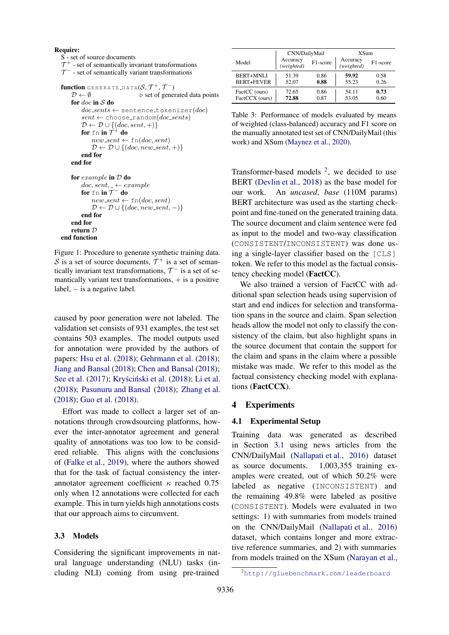### <span id="page-4-0"></span>Require:

```
S - set of source documents
\mathcal{T}^+ - set of semantically invariant transformations
\mathcal{T}^- - set of semantically variant transformations
function generate_data(\mathcal{S}, \mathcal{T}^+, \mathcal{T}^-)
    \mathcal{D} \leftarrow \emptyset > set of generated data points
    for doc in S do
         doc\_sents \leftarrow sentence_tokenizer(doc)
         sent \leftarrow choose_random(doc\_sents)
         \mathcal{D} \leftarrow \mathcal{D} \cup \{ (doc, sent, +) \}for fn in \check{\mathcal{T}}^+ do
              new\_sent \leftarrow \text{fn}(doc, sent)\mathcal{D} \leftarrow \mathcal{D} \cup \{ (doc, new\_sent, +) \}end for
    end for
    for example in D do
         doc, sent, _- \leftarrow examplefor fn in \mathcal{T}^- do
              new\_sent \leftarrow \text{fn}(doc, sent)\mathcal{D} \leftarrow \mathcal{D} \cup \{ (doc, new\_sent, -) \}end for
    end for
    return D
end function
```
Figure 1: Procedure to generate synthetic training data. S is a set of source documents,  $\mathcal{T}^+$  is a set of semantically invariant text transformations,  $\mathcal{T}^-$  is a set of semantically variant text transformations,  $+$  is a positive  $label, - is a negative label.$ 

caused by poor generation were not labeled. The validation set consists of 931 examples, the test set contains 503 examples. The model outputs used for annotation were provided by the authors of papers: [Hsu et al.](#page-9-17) [\(2018](#page-9-17)); [Gehrmann et al.](#page-8-1) [\(2018\)](#page-8-1); [Jiang and Bansal](#page-9-18) [\(2018\)](#page-9-18); [Chen and Bansal](#page-8-14) [\(2018\)](#page-8-14); [See et al.](#page-9-8) [\(2017\)](#page-9-8); Kryściński et al. [\(2018](#page-9-10)); [Li et al.](#page-9-19) [\(2018](#page-9-19)); [Pasunuru and Bansal](#page-9-9) [\(2018](#page-9-9)); [Zhang et al.](#page-10-2) [\(2018](#page-10-2)); [Guo et al.](#page-8-7) [\(2018](#page-8-7)).

Effort was made to collect a larger set of annotations through crowdsourcing platforms, however the inter-annotator agreement and general quality of annotations was too low to be considered reliable. This aligns with the conclusions of [\(Falke et al.](#page-8-11), [2019](#page-8-11)), where the authors showed that for the task of factual consistency the interannotator agreement coefficient  $\kappa$  reached 0.75 only when 12 annotations were collected for each example. This in turn yields high annotations costs that our approach aims to circumvent.

## 3.3 Models

Considering the significant improvements in natural language understanding (NLU) tasks (including NLI) coming from using pre-trained

<span id="page-4-2"></span>

|                   | CNN/DailyMail          |          | <b>XSum</b>            |          |
|-------------------|------------------------|----------|------------------------|----------|
| Model             | Accuracy<br>(weighted) | F1-score | Accuracy<br>(weighted) | F1-score |
| BERT+MNLI         | 51.39                  | 0.86     | 59.92                  | 0.58     |
| <b>BERT+FEVER</b> | 52.07                  | 0.88     | 55.23                  | 0.26     |
| FactCC (ours)     | 72.65                  | 0.86     | 54.11                  | 0.73     |
| FactCCX (ours)    | 72.88                  | 0.87     | 53.05                  | 0.60     |

Table 3: Performance of models evaluated by means of weighted (class-balanced) accuracy and F1 score on the manually annotated test set of CNN/DailyMail (this work) and XSum [\(Maynez et al.](#page-9-20), [2020](#page-9-20)).

Transformer-based models  $2$ , we decided to use BERT [\(Devlin et al.,](#page-8-4) [2018\)](#page-8-4) as the base model for our work. An *uncased*, *base* (110M params) BERT architecture was used as the starting checkpoint and fine-tuned on the generated training data. The source document and claim sentence were fed as input to the model and two-way classification (CONSISTENT/INCONSISTENT) was done using a single-layer classifier based on the  $[CLS]$ token. We refer to this model as the factual consistency checking model (FactCC).

We also trained a version of FactCC with additional span selection heads using supervision of start and end indices for selection and transformation spans in the source and claim. Span selection heads allow the model not only to classify the consistency of the claim, but also highlight spans in the source document that contain the support for the claim and spans in the claim where a possible mistake was made. We refer to this model as the factual consistency checking model with explanations (FactCCX).

## 4 Experiments

## 4.1 Experimental Setup

Training data was generated as described in Section [3.1](#page-2-0) using news articles from the CNN/DailyMail [\(Nallapati et al.,](#page-9-5) [2016\)](#page-9-5) dataset as source documents. 1,003,355 training examples were created, out of which 50.2% were labeled as negative (INCONSISTENT) and the remaining 49.8% were labeled as positive (CONSISTENT). Models were evaluated in two settings: 1) with summaries from models trained on the CNN/DailyMail [\(Nallapati et al.](#page-9-5), [2016\)](#page-9-5) dataset, which contains longer and more extractive reference summaries, and 2) with summaries from models trained on the XSum [\(Narayan et al.](#page-9-21),

<span id="page-4-1"></span><sup>2</sup><http://gluebenchmark.com/leaderboard>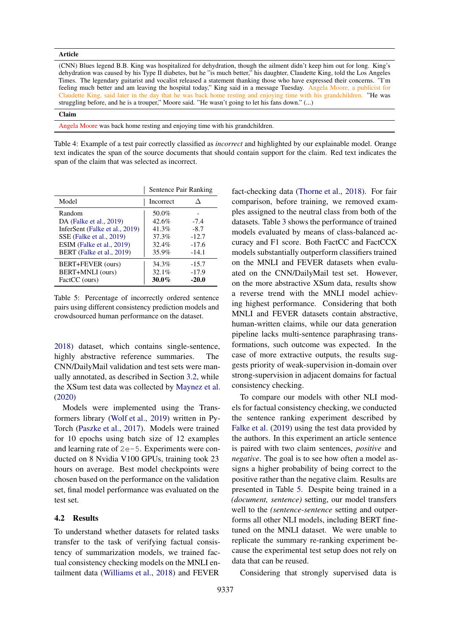## <span id="page-5-1"></span>Article

(CNN) Blues legend B.B. King was hospitalized for dehydration, though the ailment didn't keep him out for long. King's dehydration was caused by his Type II diabetes, but he "is much better," his daughter, Claudette King, told the Los Angeles Times. The legendary guitarist and vocalist released a statement thanking those who have expressed their concerns. "I'm feeling much better and am leaving the hospital today," King said in a message Tuesday. Angela Moore, a publicist for Claudette King, said later in the day that he was back home resting and enjoying time with his grandchildren. "He was struggling before, and he is a trouper," Moore said. "He wasn't going to let his fans down." (...)

## Claim

Angela Moore was back home resting and enjoying time with his grandchildren.

Table 4: Example of a test pair correctly classified as *incorrect* and highlighted by our explainable model. Orange text indicates the span of the source documents that should contain support for the claim. Red text indicates the span of the claim that was selected as incorrect.

<span id="page-5-0"></span>

|                                                                                                                                                           | Sentence Pair Ranking                              |                                                   |
|-----------------------------------------------------------------------------------------------------------------------------------------------------------|----------------------------------------------------|---------------------------------------------------|
| Model                                                                                                                                                     | Incorrect                                          |                                                   |
| Random<br>DA (Falke et al., 2019)<br>InferSent (Falke et al., 2019)<br>SSE (Falke et al., 2019)<br>ESIM (Falke et al., 2019)<br>BERT (Falke et al., 2019) | 50.0%<br>42.6%<br>41.3%<br>37.3%<br>32.4%<br>35.9% | $-7.4$<br>$-8.7$<br>$-12.7$<br>$-17.6$<br>$-14.1$ |
| BERT+FEVER (ours)<br>BERT+MNLI (ours)<br>FactCC (ours)                                                                                                    | 34.3%<br>32.1%<br>$30.0\%$                         | $-15.7$<br>$-17.9$<br>$-20.0$                     |

Table 5: Percentage of incorrectly ordered sentence pairs using different consistency prediction models and crowdsourced human performance on the dataset.

[2018\)](#page-9-21) dataset, which contains single-sentence, highly abstractive reference summaries. The CNN/DailyMail validation and test sets were manually annotated, as described in Section [3.2,](#page-3-2) while the XSum test data was collected by [Maynez et al.](#page-9-20) [\(2020](#page-9-20))

Models were implemented using the Transformers library [\(Wolf et al.,](#page-10-5) [2019](#page-10-5)) written in Py-Torch [\(Paszke et al.](#page-9-22), [2017](#page-9-22)). Models were trained for 10 epochs using batch size of 12 examples and learning rate of 2e-5. Experiments were conducted on 8 Nvidia V100 GPUs, training took 23 hours on average. Best model checkpoints were chosen based on the performance on the validation set, final model performance was evaluated on the test set.

## 4.2 Results

To understand whether datasets for related tasks transfer to the task of verifying factual consistency of summarization models, we trained factual consistency checking models on the MNLI entailment data [\(Williams et al.,](#page-10-1) [2018\)](#page-10-1) and FEVER

fact-checking data [\(Thorne et al.](#page-9-23), [2018](#page-9-23)). For fair comparison, before training, we removed examples assigned to the neutral class from both of the datasets. Table [3](#page-4-2) shows the performance of trained models evaluated by means of class-balanced accuracy and F1 score. Both FactCC and FactCCX models substantially outperform classifiers trained on the MNLI and FEVER datasets when evaluated on the CNN/DailyMail test set. However, on the more abstractive XSum data, results show a reverse trend with the MNLI model achieving highest performance. Considering that both MNLI and FEVER datasets contain abstractive, human-written claims, while our data generation pipeline lacks multi-sentence paraphrasing transformations, such outcome was expected. In the case of more extractive outputs, the results suggests priority of weak-supervision in-domain over strong-supervision in adjacent domains for factual consistency checking.

To compare our models with other NLI models for factual consistency checking, we conducted the sentence ranking experiment described by [Falke et al.](#page-8-11) [\(2019\)](#page-8-11) using the test data provided by the authors. In this experiment an article sentence is paired with two claim sentences, *positive* and *negative*. The goal is to see how often a model assigns a higher probability of being correct to the positive rather than the negative claim. Results are presented in Table [5.](#page-5-0) Despite being trained in a *(document, sentence)* setting, our model transfers well to the *(sentence-sentence* setting and outperforms all other NLI models, including BERT finetuned on the MNLI dataset. We were unable to replicate the summary re-ranking experiment because the experimental test setup does not rely on data that can be reused.

Considering that strongly supervised data is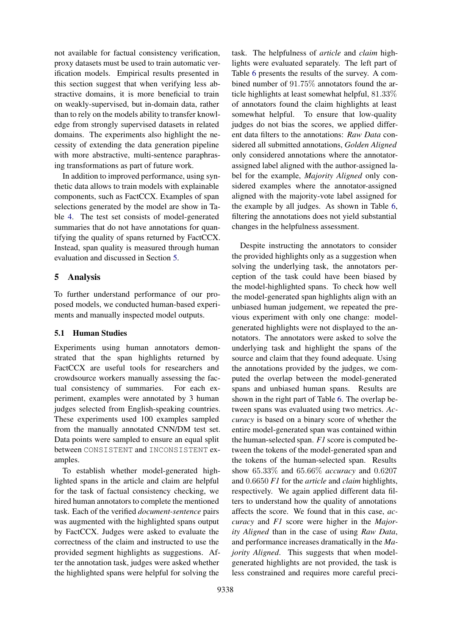not available for factual consistency verification, proxy datasets must be used to train automatic verification models. Empirical results presented in this section suggest that when verifying less abstractive domains, it is more beneficial to train on weakly-supervised, but in-domain data, rather than to rely on the models ability to transfer knowledge from strongly supervised datasets in related domains. The experiments also highlight the necessity of extending the data generation pipeline with more abstractive, multi-sentence paraphrasing transformations as part of future work.

In addition to improved performance, using synthetic data allows to train models with explainable components, such as FactCCX. Examples of span selections generated by the model are show in Table [4.](#page-5-1) The test set consists of model-generated summaries that do not have annotations for quantifying the quality of spans returned by FactCCX. Instead, span quality is measured through human evaluation and discussed in Section [5.](#page-6-0)

# <span id="page-6-0"></span>5 Analysis

To further understand performance of our proposed models, we conducted human-based experiments and manually inspected model outputs.

# 5.1 Human Studies

Experiments using human annotators demonstrated that the span highlights returned by FactCCX are useful tools for researchers and crowdsource workers manually assessing the factual consistency of summaries. For each experiment, examples were annotated by 3 human judges selected from English-speaking countries. These experiments used 100 examples sampled from the manually annotated CNN/DM test set. Data points were sampled to ensure an equal split between CONSISTENT and INCONSISTENT examples.

To establish whether model-generated highlighted spans in the article and claim are helpful for the task of factual consistency checking, we hired human annotators to complete the mentioned task. Each of the verified *document-sentence* pairs was augmented with the highlighted spans output by FactCCX. Judges were asked to evaluate the correctness of the claim and instructed to use the provided segment highlights as suggestions. After the annotation task, judges were asked whether the highlighted spans were helpful for solving the

task. The helpfulness of *article* and *claim* highlights were evaluated separately. The left part of Table [6](#page-7-0) presents the results of the survey. A combined number of 91.75% annotators found the article highlights at least somewhat helpful, 81.33% of annotators found the claim highlights at least somewhat helpful. To ensure that low-quality judges do not bias the scores, we applied different data filters to the annotations: *Raw Data* considered all submitted annotations, *Golden Aligned* only considered annotations where the annotatorassigned label aligned with the author-assigned label for the example, *Majority Aligned* only considered examples where the annotator-assigned aligned with the majority-vote label assigned for the example by all judges. As shown in Table [6,](#page-7-0) filtering the annotations does not yield substantial changes in the helpfulness assessment.

Despite instructing the annotators to consider the provided highlights only as a suggestion when solving the underlying task, the annotators perception of the task could have been biased by the model-highlighted spans. To check how well the model-generated span highlights align with an unbiased human judgement, we repeated the previous experiment with only one change: modelgenerated highlights were not displayed to the annotators. The annotators were asked to solve the underlying task and highlight the spans of the source and claim that they found adequate. Using the annotations provided by the judges, we computed the overlap between the model-generated spans and unbiased human spans. Results are shown in the right part of Table [6.](#page-7-0) The overlap between spans was evaluated using two metrics. *Accuracy* is based on a binary score of whether the entire model-generated span was contained within the human-selected span. *F1* score is computed between the tokens of the model-generated span and the tokens of the human-selected span. Results show 65.33% and 65.66% *accuracy* and 0.6207 and 0.6650 *F1* for the *article* and *claim* highlights, respectively. We again applied different data filters to understand how the quality of annotations affects the score. We found that in this case, *accuracy* and *F1* score were higher in the *Majority Aligned* than in the case of using *Raw Data*, and performance increases dramatically in the *Majority Aligned*. This suggests that when modelgenerated highlights are not provided, the task is less constrained and requires more careful preci-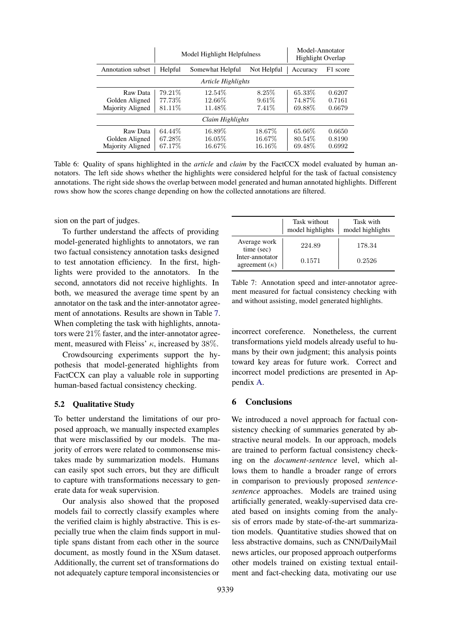<span id="page-7-0"></span>

|                                                | Model Highlight Helpfulness   |                                     |                                   | Model-Annotator<br><b>Highlight Overlap</b> |                            |
|------------------------------------------------|-------------------------------|-------------------------------------|-----------------------------------|---------------------------------------------|----------------------------|
| Annotation subset                              | Helpful                       | Somewhat Helpful                    | Not Helpful                       | Accuracy                                    | F1 score                   |
| Article Highlights                             |                               |                                     |                                   |                                             |                            |
| Raw Data<br>Golden Aligned<br>Majority Aligned | 79.21\%<br>77.73%<br>81.11\%  | 12.54\%<br>12.66%<br>11.48\%        | 8.25\%<br>$9.61\%$<br>$7.41\%$    | 65.33\%<br>74.87%<br>69.88%                 | 0.6207<br>0.7161<br>0.6679 |
| Claim Highlights                               |                               |                                     |                                   |                                             |                            |
| Raw Data<br>Golden Aligned<br>Majority Aligned | 64.44\%<br>67.28\%<br>67.17\% | $16.89\%$<br>$16.05\%$<br>$16.67\%$ | $18.67\%$<br>16.67\%<br>$16.16\%$ | 65.66\%<br>80.54\%<br>69.48%                | 0.6650<br>0.8190<br>0.6992 |

Table 6: Quality of spans highlighted in the *article* and *claim* by the FactCCX model evaluated by human annotators. The left side shows whether the highlights were considered helpful for the task of factual consistency annotations. The right side shows the overlap between model generated and human annotated highlights. Different rows show how the scores change depending on how the collected annotations are filtered.

sion on the part of judges.

To further understand the affects of providing model-generated highlights to annotators, we ran two factual consistency annotation tasks designed to test annotation efficiency. In the first, highlights were provided to the annotators. In the second, annotators did not receive highlights. In both, we measured the average time spent by an annotator on the task and the inter-annotator agreement of annotations. Results are shown in Table [7.](#page-7-1) When completing the task with highlights, annotators were 21% faster, and the inter-annotator agreement, measured with Fleiss'  $\kappa$ , increased by 38%.

Crowdsourcing experiments support the hypothesis that model-generated highlights from FactCCX can play a valuable role in supporting human-based factual consistency checking.

## <span id="page-7-2"></span>5.2 Qualitative Study

To better understand the limitations of our proposed approach, we manually inspected examples that were misclassified by our models. The majority of errors were related to commonsense mistakes made by summarization models. Humans can easily spot such errors, but they are difficult to capture with transformations necessary to generate data for weak supervision.

Our analysis also showed that the proposed models fail to correctly classify examples where the verified claim is highly abstractive. This is especially true when the claim finds support in multiple spans distant from each other in the source document, as mostly found in the XSum dataset. Additionally, the current set of transformations do not adequately capture temporal inconsistencies or

<span id="page-7-1"></span>

|                                         | Task without<br>model highlights | Task with<br>model highlights |
|-----------------------------------------|----------------------------------|-------------------------------|
| Average work<br>time (sec)              | 224.89                           | 178.34                        |
| Inter-annotator<br>agreement $(\kappa)$ | 0.1571                           | 0.2526                        |

Table 7: Annotation speed and inter-annotator agreement measured for factual consistency checking with and without assisting, model generated highlights.

incorrect coreference. Nonetheless, the current transformations yield models already useful to humans by their own judgment; this analysis points toward key areas for future work. Correct and incorrect model predictions are presented in Appendix [A.](#page-11-0)

## 6 Conclusions

We introduced a novel approach for factual consistency checking of summaries generated by abstractive neural models. In our approach, models are trained to perform factual consistency checking on the *document-sentence* level, which allows them to handle a broader range of errors in comparison to previously proposed *sentencesentence* approaches. Models are trained using artificially generated, weakly-supervised data created based on insights coming from the analysis of errors made by state-of-the-art summarization models. Quantitative studies showed that on less abstractive domains, such as CNN/DailyMail news articles, our proposed approach outperforms other models trained on existing textual entailment and fact-checking data, motivating our use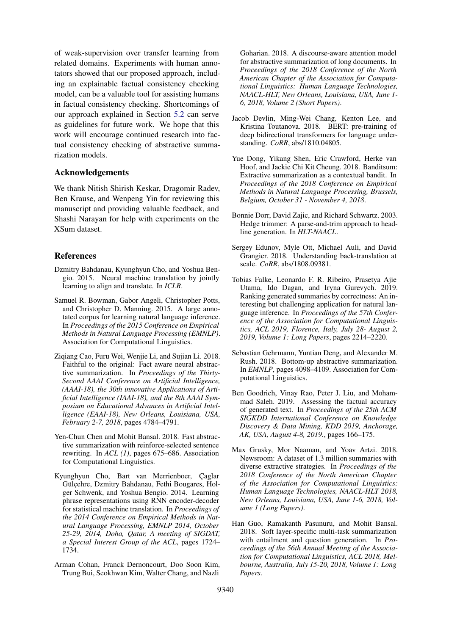of weak-supervision over transfer learning from related domains. Experiments with human annotators showed that our proposed approach, including an explainable factual consistency checking model, can be a valuable tool for assisting humans in factual consistency checking. Shortcomings of our approach explained in Section [5.2](#page-7-2) can serve as guidelines for future work. We hope that this work will encourage continued research into factual consistency checking of abstractive summarization models.

## Acknowledgements

We thank Nitish Shirish Keskar, Dragomir Radev, Ben Krause, and Wenpeng Yin for reviewing this manuscript and providing valuable feedback, and Shashi Narayan for help with experiments on the XSum dataset.

## References

- <span id="page-8-3"></span>Dzmitry Bahdanau, Kyunghyun Cho, and Yoshua Bengio. 2015. Neural machine translation by jointly learning to align and translate. In *ICLR*.
- <span id="page-8-12"></span>Samuel R. Bowman, Gabor Angeli, Christopher Potts, and Christopher D. Manning. 2015. A large annotated corpus for learning natural language inference. In *Proceedings of the 2015 Conference on Empirical Methods in Natural Language Processing (EMNLP)*. Association for Computational Linguistics.
- <span id="page-8-9"></span>Ziqiang Cao, Furu Wei, Wenjie Li, and Sujian Li. 2018. Faithful to the original: Fact aware neural abstractive summarization. In *Proceedings of the Thirty-Second AAAI Conference on Artificial Intelligence, (AAAI-18), the 30th innovative Applications of Artificial Intelligence (IAAI-18), and the 8th AAAI Symposium on Educational Advances in Artificial Intelligence (EAAI-18), New Orleans, Louisiana, USA, February 2-7, 2018*, pages 4784–4791.
- <span id="page-8-14"></span>Yen-Chun Chen and Mohit Bansal. 2018. Fast abstractive summarization with reinforce-selected sentence rewriting. In *ACL (1)*, pages 675–686. Association for Computational Linguistics.
- <span id="page-8-2"></span>Kyunghyun Cho, Bart van Merrienboer, Caglar Gülçehre, Dzmitry Bahdanau, Fethi Bougares, Holger Schwenk, and Yoshua Bengio. 2014. Learning phrase representations using RNN encoder-decoder for statistical machine translation. In *Proceedings of the 2014 Conference on Empirical Methods in Natural Language Processing, EMNLP 2014, October 25-29, 2014, Doha, Qatar, A meeting of SIGDAT, a Special Interest Group of the ACL*, pages 1724– 1734.
- <span id="page-8-6"></span>Arman Cohan, Franck Dernoncourt, Doo Soon Kim, Trung Bui, Seokhwan Kim, Walter Chang, and Nazli

Goharian. 2018. A discourse-aware attention model for abstractive summarization of long documents. In *Proceedings of the 2018 Conference of the North American Chapter of the Association for Computational Linguistics: Human Language Technologies, NAACL-HLT, New Orleans, Louisiana, USA, June 1- 6, 2018, Volume 2 (Short Papers)*.

- <span id="page-8-4"></span>Jacob Devlin, Ming-Wei Chang, Kenton Lee, and Kristina Toutanova. 2018. BERT: pre-training of deep bidirectional transformers for language understanding. *CoRR*, abs/1810.04805.
- <span id="page-8-8"></span>Yue Dong, Yikang Shen, Eric Crawford, Herke van Hoof, and Jackie Chi Kit Cheung. 2018. Banditsum: Extractive summarization as a contextual bandit. In *Proceedings of the 2018 Conference on Empirical Methods in Natural Language Processing, Brussels, Belgium, October 31 - November 4, 2018*.
- <span id="page-8-0"></span>Bonnie Dorr, David Zajic, and Richard Schwartz. 2003. Hedge trimmer: A parse-and-trim approach to headline generation. In *HLT-NAACL*.
- <span id="page-8-13"></span>Sergey Edunov, Myle Ott, Michael Auli, and David Grangier. 2018. Understanding back-translation at scale. *CoRR*, abs/1808.09381.
- <span id="page-8-11"></span>Tobias Falke, Leonardo F. R. Ribeiro, Prasetya Ajie Utama, Ido Dagan, and Iryna Gurevych. 2019. Ranking generated summaries by correctness: An interesting but challenging application for natural language inference. In *Proceedings of the 57th Conference of the Association for Computational Linguistics, ACL 2019, Florence, Italy, July 28- August 2, 2019, Volume 1: Long Papers*, pages 2214–2220.
- <span id="page-8-1"></span>Sebastian Gehrmann, Yuntian Deng, and Alexander M. Rush. 2018. Bottom-up abstractive summarization. In *EMNLP*, pages 4098–4109. Association for Computational Linguistics.
- <span id="page-8-10"></span>Ben Goodrich, Vinay Rao, Peter J. Liu, and Mohammad Saleh. 2019. Assessing the factual accuracy of generated text. In *Proceedings of the 25th ACM SIGKDD International Conference on Knowledge Discovery & Data Mining, KDD 2019, Anchorage, AK, USA, August 4-8, 2019.*, pages 166–175.
- <span id="page-8-5"></span>Max Grusky, Mor Naaman, and Yoav Artzi. 2018. Newsroom: A dataset of 1.3 million summaries with diverse extractive strategies. In *Proceedings of the 2018 Conference of the North American Chapter of the Association for Computational Linguistics: Human Language Technologies, NAACL-HLT 2018, New Orleans, Louisiana, USA, June 1-6, 2018, Volume 1 (Long Papers)*.
- <span id="page-8-7"></span>Han Guo, Ramakanth Pasunuru, and Mohit Bansal. 2018. Soft layer-specific multi-task summarization with entailment and question generation. In *Proceedings of the 56th Annual Meeting of the Association for Computational Linguistics, ACL 2018, Melbourne, Australia, July 15-20, 2018, Volume 1: Long Papers*.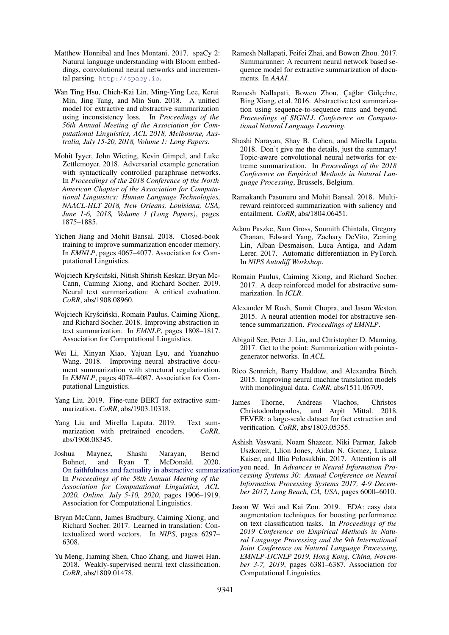- <span id="page-9-16"></span>Matthew Honnibal and Ines Montani. 2017. spaCy 2: Natural language understanding with Bloom embeddings, convolutional neural networks and incremental parsing. <http://spacy.io>.
- <span id="page-9-17"></span>Wan Ting Hsu, Chieh-Kai Lin, Ming-Ying Lee, Kerui Min, Jing Tang, and Min Sun. 2018. A unified model for extractive and abstractive summarization using inconsistency loss. In *Proceedings of the 56th Annual Meeting of the Association for Computational Linguistics, ACL 2018, Melbourne, Australia, July 15-20, 2018, Volume 1: Long Papers*.
- <span id="page-9-14"></span>Mohit Iyyer, John Wieting, Kevin Gimpel, and Luke Zettlemoyer. 2018. Adversarial example generation with syntactically controlled paraphrase networks. In *Proceedings of the 2018 Conference of the North American Chapter of the Association for Computational Linguistics: Human Language Technologies, NAACL-HLT 2018, New Orleans, Louisiana, USA, June 1-6, 2018, Volume 1 (Long Papers)*, pages 1875–1885.
- <span id="page-9-18"></span>Yichen Jiang and Mohit Bansal. 2018. Closed-book training to improve summarization encoder memory. In *EMNLP*, pages 4067–4077. Association for Computational Linguistics.
- <span id="page-9-11"></span>Wojciech Kryściński, Nitish Shirish Keskar, Bryan Mc-Cann, Caiming Xiong, and Richard Socher. 2019. Neural text summarization: A critical evaluation. *CoRR*, abs/1908.08960.
- <span id="page-9-10"></span>Wojciech Kryściński, Romain Paulus, Caiming Xiong, and Richard Socher. 2018. Improving abstraction in text summarization. In *EMNLP*, pages 1808–1817. Association for Computational Linguistics.
- <span id="page-9-19"></span>Wei Li, Xinyan Xiao, Yajuan Lyu, and Yuanzhuo Wang. 2018. Improving neural abstractive document summarization with structural regularization. In *EMNLP*, pages 4078–4087. Association for Computational Linguistics.
- <span id="page-9-6"></span>Yang Liu. 2019. Fine-tune BERT for extractive summarization. *CoRR*, abs/1903.10318.
- <span id="page-9-7"></span>Yang Liu and Mirella Lapata. 2019. Text summarization with pretrained encoders. *CoRR*, abs/1908.08345.
- <span id="page-9-20"></span>Joshua Maynez, Shashi Narayan, Bernd Bohnet, and Ryan T. McDonald. 2020. [On faithfulness and factuality in abstractive summarization.](https://www.aclweb.org/anthology/2020.acl-main.173/) you need. In *Advances in Neural Information Pro-*In *Proceedings of the 58th Annual Meeting of the Association for Computational Linguistics, ACL 2020, Online, July 5-10, 2020*, pages 1906–1919. Association for Computational Linguistics.
- <span id="page-9-4"></span>Bryan McCann, James Bradbury, Caiming Xiong, and Richard Socher. 2017. Learned in translation: Contextualized word vectors. In *NIPS*, pages 6297– 6308.
- <span id="page-9-15"></span>Yu Meng, Jiaming Shen, Chao Zhang, and Jiawei Han. 2018. Weakly-supervised neural text classification. *CoRR*, abs/1809.01478.
- <span id="page-9-0"></span>Ramesh Nallapati, Feifei Zhai, and Bowen Zhou. 2017. Summarunner: A recurrent neural network based sequence model for extractive summarization of documents. In *AAAI*.
- <span id="page-9-5"></span>Ramesh Nallapati, Bowen Zhou, Çağlar Gülçehre, Bing Xiang, et al. 2016. Abstractive text summarization using sequence-to-sequence rnns and beyond. *Proceedings of SIGNLL Conference on Computational Natural Language Learning*.
- <span id="page-9-21"></span>Shashi Narayan, Shay B. Cohen, and Mirella Lapata. 2018. Don't give me the details, just the summary! Topic-aware convolutional neural networks for extreme summarization. In *Proceedings of the 2018 Conference on Empirical Methods in Natural Language Processing*, Brussels, Belgium.
- <span id="page-9-9"></span>Ramakanth Pasunuru and Mohit Bansal. 2018. Multireward reinforced summarization with saliency and entailment. *CoRR*, abs/1804.06451.
- <span id="page-9-22"></span>Adam Paszke, Sam Gross, Soumith Chintala, Gregory Chanan, Edward Yang, Zachary DeVito, Zeming Lin, Alban Desmaison, Luca Antiga, and Adam Lerer. 2017. Automatic differentiation in PyTorch. In *NIPS Autodiff Workshop*.
- <span id="page-9-2"></span>Romain Paulus, Caiming Xiong, and Richard Socher. 2017. A deep reinforced model for abstractive summarization. In *ICLR*.
- <span id="page-9-1"></span>Alexander M Rush, Sumit Chopra, and Jason Weston. 2015. A neural attention model for abstractive sentence summarization. *Proceedings of EMNLP*.
- <span id="page-9-8"></span>Abigail See, Peter J. Liu, and Christopher D. Manning. 2017. Get to the point: Summarization with pointergenerator networks. In *ACL*.
- <span id="page-9-13"></span>Rico Sennrich, Barry Haddow, and Alexandra Birch. 2015. Improving neural machine translation models with monolingual data. *CoRR*, abs/1511.06709.
- <span id="page-9-23"></span>James Thorne, Andreas Vlachos, Christos Christodoulopoulos, and Arpit Mittal. 2018. FEVER: a large-scale dataset for fact extraction and verification. *CoRR*, abs/1803.05355.
- <span id="page-9-3"></span>Ashish Vaswani, Noam Shazeer, Niki Parmar, Jakob Uszkoreit, Llion Jones, Aidan N. Gomez, Lukasz Kaiser, and Illia Polosukhin. 2017. Attention is all
- *cessing Systems 30: Annual Conference on Neural Information Processing Systems 2017, 4-9 December 2017, Long Beach, CA, USA*, pages 6000–6010.
- <span id="page-9-12"></span>Jason W. Wei and Kai Zou. 2019. EDA: easy data augmentation techniques for boosting performance on text classification tasks. In *Proceedings of the 2019 Conference on Empirical Methods in Natural Language Processing and the 9th International Joint Conference on Natural Language Processing, EMNLP-IJCNLP 2019, Hong Kong, China, November 3-7, 2019*, pages 6381–6387. Association for Computational Linguistics.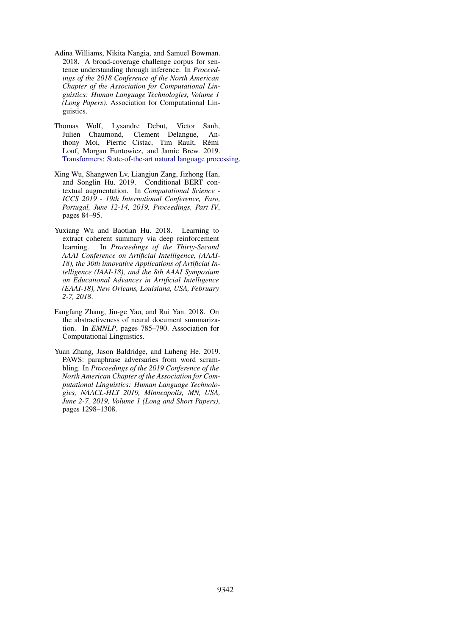- <span id="page-10-1"></span>Adina Williams, Nikita Nangia, and Samuel Bowman. 2018. A broad-coverage challenge corpus for sentence understanding through inference. In *Proceedings of the 2018 Conference of the North American Chapter of the Association for Computational Linguistics: Human Language Technologies, Volume 1 (Long Papers)*. Association for Computational Linguistics.
- <span id="page-10-5"></span>Thomas Wolf, Lysandre Debut, Victor Sanh, Julien Chaumond, Clement Delangue, Anthony Moi, Pierric Cistac, Tim Rault, Remi ´ Louf, Morgan Funtowicz, and Jamie Brew. 2019. [Transformers: State-of-the-art natural language processing.](http://arxiv.org/abs/1910.03771)
- <span id="page-10-3"></span>Xing Wu, Shangwen Lv, Liangjun Zang, Jizhong Han, and Songlin Hu. 2019. Conditional BERT contextual augmentation. In *Computational Science - ICCS 2019 - 19th International Conference, Faro, Portugal, June 12-14, 2019, Proceedings, Part IV*, pages 84–95.
- <span id="page-10-0"></span>Yuxiang Wu and Baotian Hu. 2018. Learning to extract coherent summary via deep reinforcement learning. In *Proceedings of the Thirty-Second AAAI Conference on Artificial Intelligence, (AAAI-18), the 30th innovative Applications of Artificial Intelligence (IAAI-18), and the 8th AAAI Symposium on Educational Advances in Artificial Intelligence (EAAI-18), New Orleans, Louisiana, USA, February 2-7, 2018*.
- <span id="page-10-2"></span>Fangfang Zhang, Jin-ge Yao, and Rui Yan. 2018. On the abstractiveness of neural document summarization. In *EMNLP*, pages 785–790. Association for Computational Linguistics.
- <span id="page-10-4"></span>Yuan Zhang, Jason Baldridge, and Luheng He. 2019. PAWS: paraphrase adversaries from word scrambling. In *Proceedings of the 2019 Conference of the North American Chapter of the Association for Computational Linguistics: Human Language Technologies, NAACL-HLT 2019, Minneapolis, MN, USA, June 2-7, 2019, Volume 1 (Long and Short Papers)*, pages 1298–1308.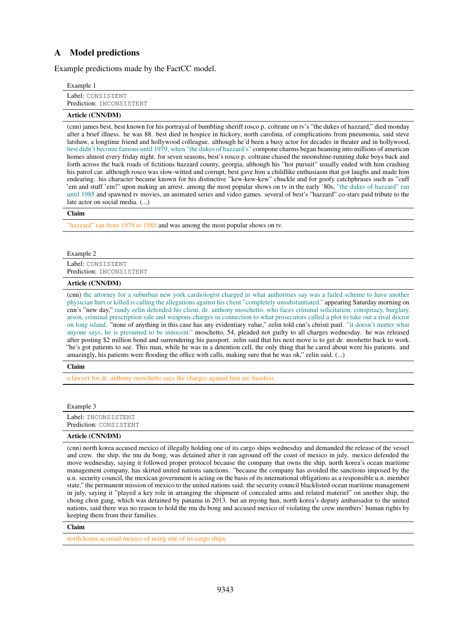# <span id="page-11-0"></span>A Model predictions

Example predictions made by the FactCC model.

#### Example 1

| Label: CONSISTENT |                          |
|-------------------|--------------------------|
|                   | Prediction: INCONSISTENT |

## Article (CNN/DM)

(cnn) james best, best known for his portrayal of bumbling sheriff rosco p. coltrane on tv's "the dukes of hazzard," died monday after a brief illness. he was 88. best died in hospice in hickory, north carolina, of complications from pneumonia, said steve latshaw, a longtime friend and hollywood colleague. although he'd been a busy actor for decades in theater and in hollywood, best didn't become famous until 1979, when "the dukes of hazzard's" cornpone charms began beaming into millions of american homes almost every friday night. for seven seasons, best's rosco p. coltrane chased the moonshine-running duke boys back and forth across the back roads of fictitious hazzard county, georgia, although his "hot pursuit" usually ended with him crashing his patrol car. although rosco was slow-witted and corrupt, best gave him a childlike enthusiasm that got laughs and made him endearing. his character became known for his distinctive "kew-kew-kew" chuckle and for goofy catchphrases such as "cuff 'em and stuff 'em!" upon making an arrest. among the most popular shows on tv in the early '80s, "the dukes of hazzard" ran until 1985 and spawned tv movies, an animated series and video games. several of best's "hazzard" co-stars paid tribute to the late actor on social media. (...)

## Claim

"hazzard" ran from 1979 to 1985 and was among the most popular shows on tv.

#### Example 2

Label: CONSISTENT Prediction: INCONSISTENT

#### Article (CNN/DM)

(cnn) the attorney for a suburban new york cardiologist charged in what authorities say was a failed scheme to have another physician hurt or killed is calling the allegations against his client "completely unsubstantiated." appearing Saturday morning on cnn's "new day," randy zelin defended his client, dr. anthony moschetto, who faces criminal solicitation, conspiracy, burglary, arson, criminal prescription sale and weapons charges in connection to what prosecutors called a plot to take out a rival doctor on long island. "none of anything in this case has any evidentiary value," zelin told cnn's christi paul. "it doesn't matter what anyone says, he is presumed to be innocent." moschetto, 54, pleaded not guilty to all charges wednesday. he was released after posting \$2 million bond and surrendering his passport. zelin said that his next move is to get dr. moshetto back to work. "he's got patients to see. This man, while he was in a detention cell, the only thing that he cared about were his patients. and amazingly, his patients were flooding the office with calls, making sure that he was ok," zelin said. (...)

## Claim

a lawyer for dr. anthony moschetto says the charges against him are baseless.

#### Example 3

Label: INCONSISTENT Prediction: CONSISTENT

### Article (CNN/DM)

(cnn) north korea accused mexico of illegally holding one of its cargo ships wednesday and demanded the release of the vessel and crew. the ship, the mu du bong, was detained after it ran aground off the coast of mexico in july. mexico defended the move wednesday, saying it followed proper protocol because the company that owns the ship, north korea's ocean maritime management company, has skirted united nations sanctions. "because the company has avoided the sanctions imposed by the u.n. security council, the mexican government is acting on the basis of its international obligations as a responsible u.n. member state," the permanent mission of mexico to the united nations said. the security council blacklisted ocean maritime management in july, saying it "played a key role in arranging the shipment of concealed arms and related materiel" on another ship, the chong chon gang, which was detained by panama in 2013. but an myong hun, north korea's deputy ambassador to the united nations, said there was no reason to hold the mu du bong and accused mexico of violating the crew members' human rights by keeping them from their families.

#### Claim

north korea accused mexico of using one of its cargo ships.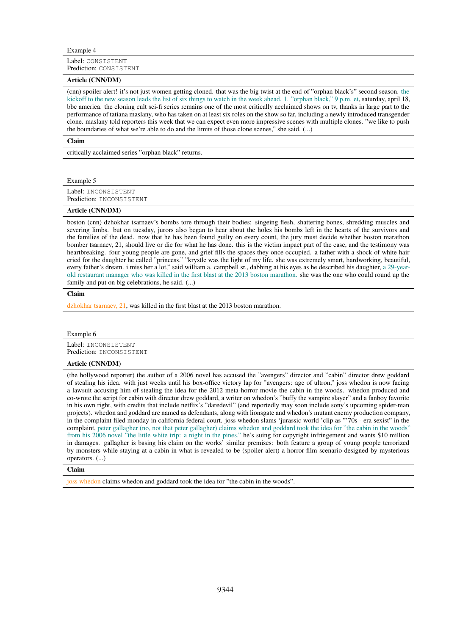#### Example 4

Label: CONSISTENT Prediction: CONSISTENT

#### Article (CNN/DM)

(cnn) spoiler alert! it's not just women getting cloned. that was the big twist at the end of "orphan black's" second season. the kickoff to the new season leads the list of six things to watch in the week ahead. 1. "orphan black," 9 p.m. et, saturday, april 18, bbc america. the cloning cult sci-fi series remains one of the most critically acclaimed shows on tv, thanks in large part to the performance of tatiana maslany, who has taken on at least six roles on the show so far, including a newly introduced transgender clone. maslany told reporters this week that we can expect even more impressive scenes with multiple clones. "we like to push the boundaries of what we're able to do and the limits of those clone scenes," she said. (...)

#### Claim

critically acclaimed series "orphan black" returns.

#### Example 5

Label: INCONSISTENT Prediction: INCONSISTENT

## Article (CNN/DM)

boston (cnn) dzhokhar tsarnaev's bombs tore through their bodies: singeing flesh, shattering bones, shredding muscles and severing limbs. but on tuesday, jurors also began to hear about the holes his bombs left in the hearts of the survivors and the families of the dead. now that he has been found guilty on every count, the jury must decide whether boston marathon bomber tsarnaev, 21, should live or die for what he has done. this is the victim impact part of the case, and the testimony was heartbreaking. four young people are gone, and grief fills the spaces they once occupied. a father with a shock of white hair cried for the daughter he called "princess." "krystle was the light of my life. she was extremely smart, hardworking, beautiful, every father's dream. i miss her a lot," said william a. campbell sr., dabbing at his eyes as he described his daughter, a 29-yearold restaurant manager who was killed in the first blast at the 2013 boston marathon. she was the one who could round up the family and put on big celebrations, he said. (...)

### Claim

dzhokhar tsarnaev, 21, was killed in the first blast at the 2013 boston marathon.

#### Example 6

Label: INCONSISTENT Prediction: INCONSISTENT

## Article (CNN/DM)

(the hollywood reporter) the author of a 2006 novel has accused the "avengers" director and "cabin" director drew goddard of stealing his idea. with just weeks until his box-office victory lap for "avengers: age of ultron," joss whedon is now facing a lawsuit accusing him of stealing the idea for the 2012 meta-horror movie the cabin in the woods. whedon produced and co-wrote the script for cabin with director drew goddard, a writer on whedon's "buffy the vampire slayer" and a fanboy favorite in his own right, with credits that include netflix's "daredevil" (and reportedly may soon include sony's upcoming spider-man projects). whedon and goddard are named as defendants, along with lionsgate and whedon's mutant enemy production company, in the complaint filed monday in california federal court. joss whedon slams 'jurassic world 'clip as "'70s - era sexist" in the complaint, peter gallagher (no, not that peter gallagher) claims whedon and goddard took the idea for "the cabin in the woods" from his 2006 novel "the little white trip: a night in the pines." he's suing for copyright infringement and wants \$10 million in damages. gallagher is basing his claim on the works' similar premises: both feature a group of young people terrorized by monsters while staying at a cabin in what is revealed to be (spoiler alert) a horror-film scenario designed by mysterious operators. (...)

## Claim

joss whedon claims whedon and goddard took the idea for "the cabin in the woods".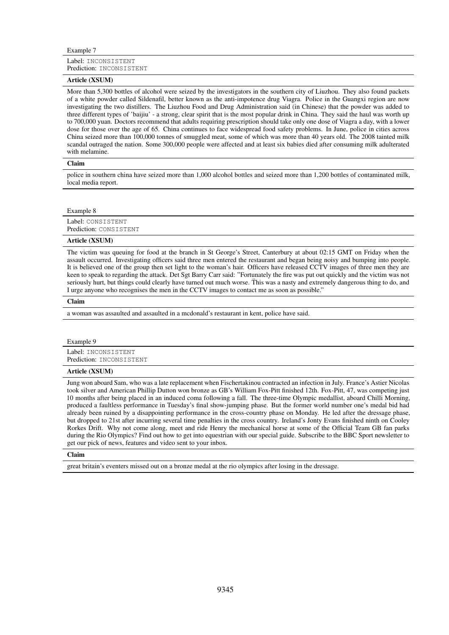#### Example 7

Label: INCONSISTENT Prediction: INCONSISTENT

### Article (XSUM)

More than 5,300 bottles of alcohol were seized by the investigators in the southern city of Liuzhou. They also found packets of a white powder called Sildenafil, better known as the anti-impotence drug Viagra. Police in the Guangxi region are now investigating the two distillers. The Liuzhou Food and Drug Administration said (in Chinese) that the powder was added to three different types of 'baijiu' - a strong, clear spirit that is the most popular drink in China. They said the haul was worth up to 700,000 yuan. Doctors recommend that adults requiring prescription should take only one dose of Viagra a day, with a lower dose for those over the age of 65. China continues to face widespread food safety problems. In June, police in cities across China seized more than 100,000 tonnes of smuggled meat, some of which was more than 40 years old. The 2008 tainted milk scandal outraged the nation. Some 300,000 people were affected and at least six babies died after consuming milk adulterated with melamine.

## Claim

police in southern china have seized more than 1,000 alcohol bottles and seized more than 1,200 bottles of contaminated milk, local media report.

#### Example 8

Label: CONSISTENT Prediction: CONSISTENT

### Article (XSUM)

The victim was queuing for food at the branch in St George's Street, Canterbury at about 02:15 GMT on Friday when the assault occurred. Investigating officers said three men entered the restaurant and began being noisy and bumping into people. It is believed one of the group then set light to the woman's hair. Officers have released CCTV images of three men they are keen to speak to regarding the attack. Det Sgt Barry Carr said: "Fortunately the fire was put out quickly and the victim was not seriously hurt, but things could clearly have turned out much worse. This was a nasty and extremely dangerous thing to do, and I urge anyone who recognises the men in the CCTV images to contact me as soon as possible."

#### Claim

a woman was assaulted and assaulted in a mcdonald's restaurant in kent, police have said.

#### Example 9

Label: INCONSISTENT Prediction: INCONSISTENT

## Article (XSUM)

Jung won aboard Sam, who was a late replacement when Fischertakinou contracted an infection in July. France's Astier Nicolas took silver and American Phillip Dutton won bronze as GB's William Fox-Pitt finished 12th. Fox-Pitt, 47, was competing just 10 months after being placed in an induced coma following a fall. The three-time Olympic medallist, aboard Chilli Morning, produced a faultless performance in Tuesday's final show-jumping phase. But the former world number one's medal bid had already been ruined by a disappointing performance in the cross-country phase on Monday. He led after the dressage phase, but dropped to 21st after incurring several time penalties in the cross country. Ireland's Jonty Evans finished ninth on Cooley Rorkes Drift. Why not come along, meet and ride Henry the mechanical horse at some of the Official Team GB fan parks during the Rio Olympics? Find out how to get into equestrian with our special guide. Subscribe to the BBC Sport newsletter to get our pick of news, features and video sent to your inbox.

#### Claim

great britain's eventers missed out on a bronze medal at the rio olympics after losing in the dressage.